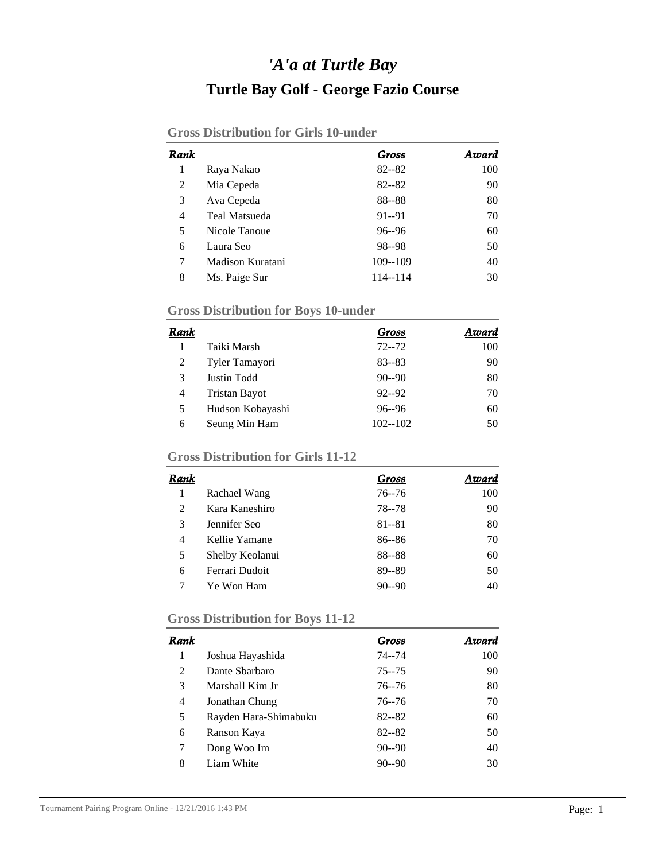## *'A'a at Turtle Bay* **Turtle Bay Golf - George Fazio Course**

| Rank |                      | Gross       | Award |
|------|----------------------|-------------|-------|
| 1    | Raya Nakao           | $82 - 82$   | 100   |
| 2    | Mia Cepeda           | $82 - 82$   | 90    |
| 3    | Ava Cepeda           | 88--88      | 80    |
| 4    | <b>Teal Matsueda</b> | 91--91      | 70    |
| 5    | Nicole Tanoue        | $96 - 96$   | 60    |
| 6    | Laura Seo            | 98--98      | 50    |
| 7    | Madison Kuratani     | $109 - 109$ | 40    |
| 8    | Ms. Paige Sur        | 114--114    | 30    |

### **Gross Distribution for Boys 10-under**

| Rank |                      | Gross       | Award |
|------|----------------------|-------------|-------|
|      | Taiki Marsh          | $72 - 72$   | 100   |
| 2    | Tyler Tamayori       | $83 - 83$   | 90    |
| 3    | Justin Todd          | $90 - 90$   | 80    |
| 4    | <b>Tristan Bayot</b> | $92 - 92$   | 70    |
| 5    | Hudson Kobayashi     | $96 - 96$   | 60    |
| 6    | Seung Min Ham        | $102 - 102$ | 50    |

### **Gross Distribution for Girls 11-12**

| Rank |                 | Gross     | Award |
|------|-----------------|-----------|-------|
|      | Rachael Wang    | $76 - 76$ | 100   |
| 2    | Kara Kaneshiro  | 78 - 78   | 90    |
| 3    | Jennifer Seo    | $81 - 81$ | 80    |
| 4    | Kellie Yamane   | $86 - 86$ | 70    |
| 5    | Shelby Keolanui | 88--88    | 60    |
| 6    | Ferrari Dudoit  | 89--89    | 50    |
|      | Ye Won Ham      | $90 - 90$ | 40    |

# **Gross Distribution for Boys 11-12**

| Rank |                       | Gross     | Award |
|------|-----------------------|-----------|-------|
| 1    | Joshua Hayashida      | $74 - 74$ | 100   |
| 2    | Dante Sbarbaro        | $75 - 75$ | 90    |
| 3    | Marshall Kim Jr       | $76 - 76$ | 80    |
| 4    | Jonathan Chung        | $76 - 76$ | 70    |
| 5    | Rayden Hara-Shimabuku | $82 - 82$ | 60    |
| 6    | Ranson Kaya           | $82 - 82$ | 50    |
| 7    | Dong Woo Im           | $90 - 90$ | 40    |
| 8    | Liam White            | $90 - 90$ | 30    |
|      |                       |           |       |